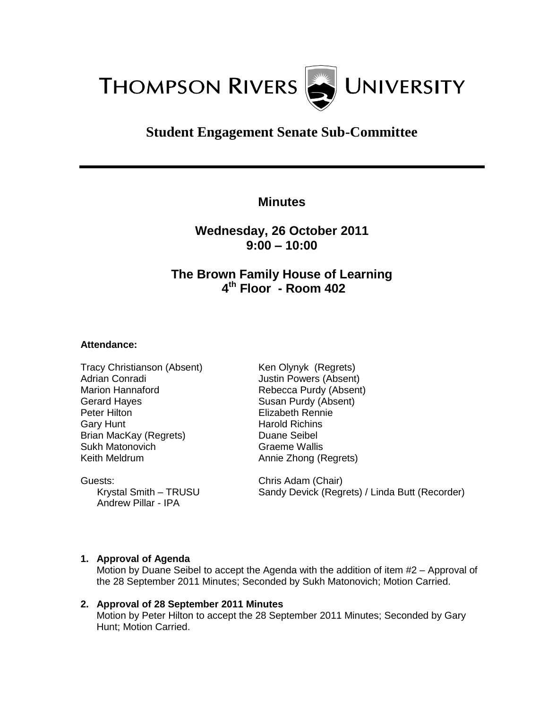

# **Student Engagement Senate Sub-Committee**

**Minutes**

**Wednesday, 26 October 2011 9:00 – 10:00**

## **The Brown Family House of Learning 4 th Floor - Room 402**

#### **Attendance:**

Tracy Christianson (Absent) Adrian Conradi Marion Hannaford Gerard Hayes Peter Hilton Gary Hunt Brian MacKay (Regrets) Sukh Matonovich Keith Meldrum

Guests: Krystal Smith – TRUSU Andrew Pillar - IPA

Ken Olynyk (Regrets) Justin Powers (Absent) Rebecca Purdy (Absent) Susan Purdy (Absent) Elizabeth Rennie Harold Richins Duane Seibel Graeme Wallis Annie Zhong (Regrets)

Chris Adam (Chair) Sandy Devick (Regrets) / Linda Butt (Recorder)

#### **1. Approval of Agenda**

Motion by Duane Seibel to accept the Agenda with the addition of item #2 – Approval of the 28 September 2011 Minutes; Seconded by Sukh Matonovich; Motion Carried.

#### **2. Approval of 28 September 2011 Minutes** Motion by Peter Hilton to accept the 28 September 2011 Minutes; Seconded by Gary Hunt; Motion Carried.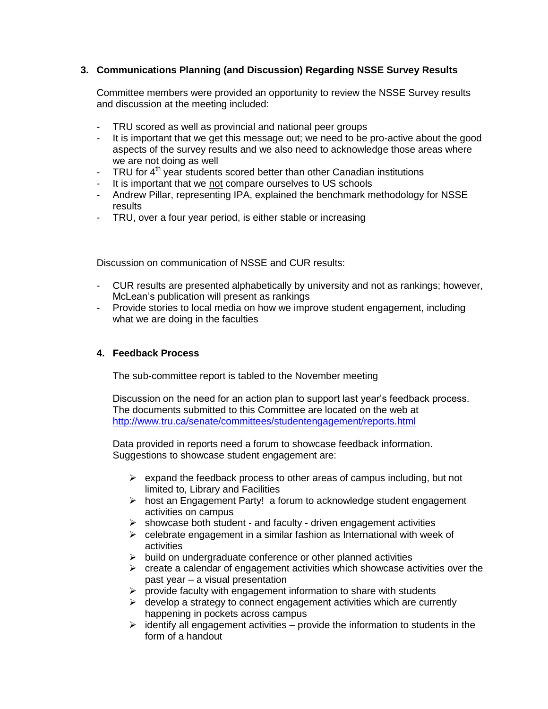## **3. Communications Planning (and Discussion) Regarding NSSE Survey Results**

Committee members were provided an opportunity to review the NSSE Survey results and discussion at the meeting included:

- TRU scored as well as provincial and national peer groups
- It is important that we get this message out; we need to be pro-active about the good aspects of the survey results and we also need to acknowledge those areas where we are not doing as well
- TRU for  $4<sup>th</sup>$  year students scored better than other Canadian institutions
- It is important that we not compare ourselves to US schools
- Andrew Pillar, representing IPA, explained the benchmark methodology for NSSE results
- TRU, over a four year period, is either stable or increasing

Discussion on communication of NSSE and CUR results:

- CUR results are presented alphabetically by university and not as rankings; however, McLean's publication will present as rankings
- Provide stories to local media on how we improve student engagement, including what we are doing in the faculties

## **4. Feedback Process**

The sub-committee report is tabled to the November meeting

Discussion on the need for an action plan to support last year's feedback process. The documents submitted to this Committee are located on the web at <http://www.tru.ca/senate/committees/studentengagement/reports.html>

Data provided in reports need a forum to showcase feedback information. Suggestions to showcase student engagement are:

- $\triangleright$  expand the feedback process to other areas of campus including, but not limited to, Library and Facilities
- $\triangleright$  host an Engagement Party! a forum to acknowledge student engagement activities on campus
- $\triangleright$  showcase both student and faculty driven engagement activities
- $\triangleright$  celebrate engagement in a similar fashion as International with week of activities
- $\triangleright$  build on undergraduate conference or other planned activities
- $\triangleright$  create a calendar of engagement activities which showcase activities over the past year – a visual presentation
- $\triangleright$  provide faculty with engagement information to share with students
- $\triangleright$  develop a strategy to connect engagement activities which are currently happening in pockets across campus
- $\triangleright$  identify all engagement activities provide the information to students in the form of a handout